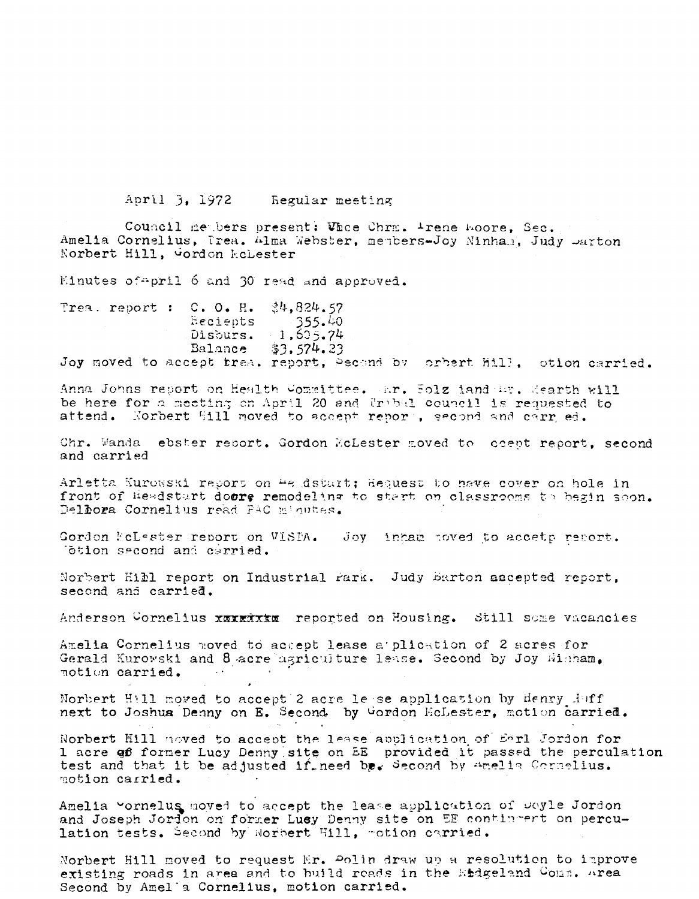April 3, 1972 Regular meeting

Council members present: Whee Chrm. Arene Hoore, Sec. Amelia Cornelius, Trea. Alma Webster, members-Joy Ninhan, Judy Darton Norbert Hill, worden kehester

Kinutes of pril 6 and 30 read and approved.

Trea. report : C. O. H.  $34,824.57$  $355.40$ Recients  $-1,605.74$ Disburs. Balance  $$3,574.23$ Joy moved to accept trea. report, Pecend by orbert Hill, otion carried.

Anna Johns report on Health Committee. Ar. Solz iand Ar. Mearth will be here for a meating on April 20 and Uribal council is requested to attend. Norbert Sill moved to accept report, second and carr ed.

Chr. Wanda ebster report. Gordon McLester moved to coept report, second and carried

Arletta Kurowski report on 4e dstart; Request to have cover on hole in front of Headstart doors remodeling to start on classrooms to begin soon. Delbora Cornelius read PAC minutes.

Gordon NeLester report on VISPA. Joy inham noved to accetp report. Totion second and cerried.

Norbert Hill report on Industrial Park. Judy Barton accepted report, second and carried.

Anderson Cornelius xxxxxxxx reported on Housing. Still some vacancies

Amelia Cornelius moved to accept lease a plication of 2 acres for Gerald Kurowski and 8 acre agriculture lease. Second by Joy Wisham, notion carried. **Contract** 

Norbert Hill moved to accept 2 acre lesse application by Henry  $A$  off next to Joshua Denny on E. Second by Gordon HoLester, motion carried.

Norbert Hill noved to accept the lease application of Earl Jordon for 1 acre go former Lucy Denny site on EE provided it passed the perculation test and that it be adjusted if need be. Second by Amelia Cornelius. motion carried.

Amelia vornelus moved to accept the lease application of Doyle Jordon and Joseph Jordon on former Lucy Denny site on EE contingent on perculation tests. Second by Norbert Hill, motion carried.

Norbert Hill moved to request Mr. Polin draw up a resolution to improve existing roads in area and to build roads in the Endgeland Comm. Area Second by Amel'a Cornelius, motion carried.